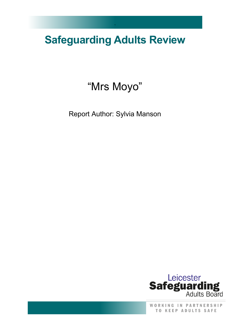# **Safeguarding Adults Review**

`

# "Mrs Moyo"

Report Author: Sylvia Manson



WORKING IN PARTNERSHIP TO KEEP ADULTS SAFE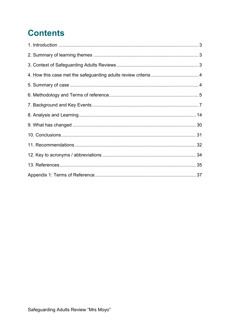# **Contents**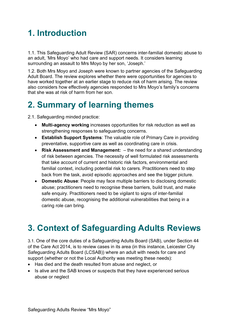# <span id="page-2-0"></span>**1. Introduction**

1.1. This Safeguarding Adult Review (SAR) concerns inter-familial domestic abuse to an adult, 'Mrs Moyo' who had care and support needs. It considers learning surrounding an assault to Mrs Moyo by her son, 'Joseph.'

1.2. Both Mrs Moyo and Joseph were known to partner agencies of the Safeguarding Adult Board. The review explores whether there were opportunities for agencies to have worked together at an earlier stage to reduce risk of harm arising. The review also considers how effectively agencies responded to Mrs Moyo's family's concerns that she was at risk of harm from her son.

### <span id="page-2-1"></span>**2. Summary of learning themes**

2.1. Safeguarding minded practice:

- **Multi-agency working** increases opportunities for risk reduction as well as strengthening responses to safeguarding concerns.
- **Establish Support Systems**: The valuable role of Primary Care in providing preventative, supportive care as well as coordinating care in crisis.
- **Risk Assessment and Management:**  the need for a shared understanding of risk between agencies. The necessity of well formulated risk assessments that take account of current and historic risk factors, environmental and familial context, including potential risk to carers. Practitioners need to step back from the task, avoid episodic approaches and see the bigger picture.
- **Domestic Abuse**: People may face multiple barriers to disclosing domestic abuse; practitioners need to recognise these barriers, build trust, and make safe enquiry. Practitioners need to be vigilant to signs of inter-familial domestic abuse, recognising the additional vulnerabilities that being in a caring role can bring.

## <span id="page-2-2"></span>**3. Context of Safeguarding Adults Reviews**

3.1. One of the core duties of a Safeguarding Adults Board (SAB), under Section 44 of the Care Act 2014, is to review cases in its area (in this instance, Leicester City Safeguarding Adults Board (LCSAB)) where an adult with needs for care and support (whether or not the Local Authority was meeting these needs):

- Has died and the death resulted from abuse and neglect, or
- Is alive and the SAB knows or suspects that they have experienced serious abuse or neglect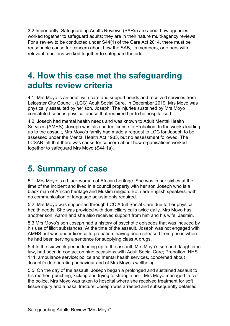3.2 Importantly, Safeguarding Adults Reviews (SARs) are about how agencies worked together to safeguard adults; they are in their nature multi-agency reviews. For a review to be conducted under S44(1) of the Care Act 2014, there must be reasonable cause for concern about how the SAB, its members, or others with relevant functions worked together to safeguard the adult.

### <span id="page-3-0"></span>**4. How this case met the safeguarding adults review criteria**

4.1. Mrs Moyo is an adult with care and support needs and received services from Leicester City Council, (LCC) Adult Social Care. In December 2019, Mrs Moyo was physically assaulted by her son, Joseph. The injuries sustained by Mrs Moyo constituted serious physical abuse that required her to be hospitalised.

4.2. Joseph had mental health needs and was known to Adult Mental Health Services (AMHS). Joseph was also under license to Probation. In the weeks leading up to the assault, Mrs Moyo's family had made a request to LCC for Joseph to be assessed under the Mental Health Act 1983, but no assessment followed. The LCSAB felt that there was cause for concern about how organisations worked together to safeguard Mrs Moyo (S44 1a).

### <span id="page-3-1"></span>**5. Summary of case**

5.1. Mrs Moyo is a black woman of African heritage. She was in her sixties at the time of the incident and lived in a council property with her son Joseph who is a black man of African heritage and Muslim religion. Both are English speakers, with no communication or language adjustments required.

5.2. Mrs Moyo was supported through LCC Adult Social Care due to her physical health needs. She was provided with domiciliary calls twice daily. Mrs Moyo has another son, Aaron and she also received support from him and his wife, Jasmin.

5.3 Mrs Moyo's son Joseph had a history of psychotic episodes that was induced by his use of illicit substances. At the time of the assault, Joseph was not engaged with AMHS but was under licence to probation, having been released from prison where he had been serving a sentence for supplying class A drugs.

5.4 In the six-week period leading up to the assault, Mrs Moyo's son and daughter in law, had been in contact on nine occasions with Adult Social Care; Probation; NHS 111; ambulance service; police and mental health services, concerned about Joseph's deteriorating behaviour and of Mrs Moyo's wellbeing.

5.5. On the day of the assault, Joseph began a prolonged and sustained assault to his mother, punching, kicking and trying to strangle her. Mrs Moyo managed to call the police. Mrs Moyo was taken to hospital where she received treatment for soft tissue injury and a nasal fracture. Joseph was arrested and subsequently detained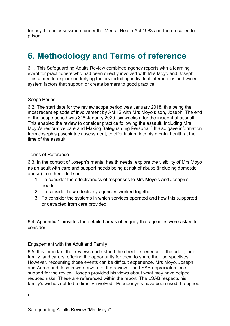for psychiatric assessment under the Mental Health Act 1983 and then recalled to prison.

# <span id="page-4-0"></span>**6. Methodology and Terms of reference**

6.1. This Safeguarding Adults Review combined agency reports with a learning event for practitioners who had been directly involved with Mrs Moyo and Joseph. This aimed to explore underlying factors including individual interactions and wider system factors that support or create barriers to good practice.

#### Scope Period

6.2. The start date for the review scope period was January 2018, this being the most recent episode of involvement by AMHS with Mrs Moyo's son, Joseph. The end of the scope period was 31<sup>st</sup> January 2020, six weeks after the incident of assault. This enabled the review to consider practice following the assault, including Mrs Moyo's restorative care and Making Safeguarding Personal.<sup>[1](#page-4-1)</sup> It also gave information from Joseph's psychiatric assessment, to offer insight into his mental health at the time of the assault.

#### Terms of Reference

6.3. In the context of Joseph's mental health needs, explore the visibility of Mrs Moyo as an adult with care and support needs being at risk of abuse (including domestic abuse) from her adult son.

- 1. To consider the effectiveness of responses to Mrs Moyo's and Joseph's needs
- 2. To consider how effectively agencies worked together.
- 3. To consider the systems in which services operated and how this supported or detracted from care provided.

6.4. Appendix 1 provides the detailed areas of enquiry that agencies were asked to consider.

#### Engagement with the Adult and Family

6.5. It is important that reviews understand the direct experience of the adult, their family, and carers, offering the opportunity for them to share their perspectives. However, recounting those events can be difficult experience. Mrs Moyo, Joseph and Aaron and Jasmin were aware of the review. The LSAB appreciates their support for the review. Joseph provided his views about what may have helped reduced risks. These are referenced within the report. The LSAB respects his family's wishes not to be directly involved. Pseudonyms have been used throughout

<span id="page-4-1"></span>1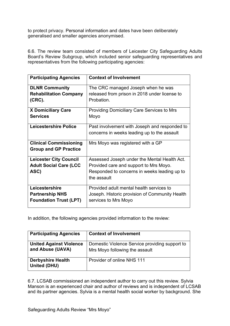to protect privacy. Personal information and dates have been deliberately generalised and smaller agencies anonymised.

6.6. The review team consisted of members of Leicester City Safeguarding Adults Board's Review Subgroup, which included senior safeguarding representatives and representatives from the following participating agencies:

| <b>Participating Agencies</b>                                             | <b>Context of Involvement</b>                                                                                                                         |
|---------------------------------------------------------------------------|-------------------------------------------------------------------------------------------------------------------------------------------------------|
| <b>DLNR Community</b><br><b>Rehabilitation Company</b><br>(CRC).          | The CRC managed Joseph when he was<br>released from prison in 2018 under license to<br>Probation.                                                     |
| <b>X Domiciliary Care</b><br><b>Services</b>                              | Providing Domiciliary Care Services to Mrs<br>Moyo                                                                                                    |
| <b>Leicestershire Police</b>                                              | Past involvement with Joseph and responded to<br>concerns in weeks leading up to the assault                                                          |
| <b>Clinical Commissioning</b><br><b>Group and GP Practice</b>             | Mrs Moyo was registered with a GP                                                                                                                     |
| <b>Leicester City Council</b><br><b>Adult Social Care (LCC</b><br>ASC)    | Assessed Joseph under the Mental Health Act.<br>Provided care and support to Mrs Moyo.<br>Responded to concerns in weeks leading up to<br>the assault |
| Leicestershire<br><b>Partnership NHS</b><br><b>Foundation Trust (LPT)</b> | Provided adult mental health services to<br>Joseph. Historic provision of Community Health<br>services to Mrs Moyo                                    |

In addition, the following agencies provided information to the review:

| <b>Participating Agencies</b>                      | <b>Context of Involvement</b>                                                    |
|----------------------------------------------------|----------------------------------------------------------------------------------|
| <b>United Against Violence</b><br>and Abuse (UAVA) | Domestic Violence Service providing support to<br>Mrs Moyo following the assault |
| <b>Derbyshire Health</b><br><b>United (DHU)</b>    | Provider of online NHS 111                                                       |

6.7. LCSAB commissioned an independent author to carry out this review. Sylvia Manson is an experienced chair and author of reviews and is independent of LCSAB and its partner agencies. Sylvia is a mental health social worker by background. She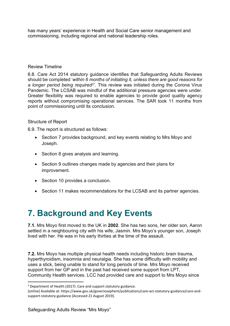has many years' experience in Health and Social Care senior management and commissioning, including regional and national leadership roles.

#### Review Timeline

6.8. Care Act 2014 statutory guidance identifies that Safeguarding Adults Reviews should be completed '*within 6 months of initiating it, unless there are good reasons for a longer period being required[2'](#page-6-1).* This review was initiated during the Corona Virus Pandemic. The LCSAB was mindful of the additional pressure agencies were under. Greater flexibility was required to enable agencies to provide good quality agency reports without compromising operational services. The SAR took 11 months from point of commissioning until its conclusion.

#### Structure of Report

6.9. The report is structured as follows:

- Section 7 provides background, and key events relating to Mrs Moyo and Joseph.
- Section 8 gives analysis and learning.
- Section 9 outlines changes made by agencies and their plans for improvement.
- Section 10 provides a conclusion.
- Section 11 makes recommendations for the LCSAB and its partner agencies.

## <span id="page-6-0"></span>**7. Background and Key Events**

**7.1.** Mrs Moyo first moved to the UK in **2002**. She has two sons, her older son, Aaron settled in a neighbouring city with his wife, Jasmin. Mrs Moyo's younger son, Joseph lived with her. He was in his early thirties at the time of the assault.

**7.2.** Mrs Moyo has multiple physical health needs including historic brain trauma, hyperthyroidism, insomnia and neuralgia. She has some difficulty with mobility and uses a stick, being unable to stand for long periods of time. Mrs Moyo received support from her GP and in the past had received some support from LPT, Community Health services. LCC had provided care and support to Mrs Moyo since

<span id="page-6-1"></span> $2$  Department of Health (2017). Care and support statutory guidance.

<sup>[</sup>online] Available at: https://www.gov.uk/goverJosephent/publications/care-act-statutory-guidance/care-andsupport-statutory-guidance [Accessed 21 August 2019].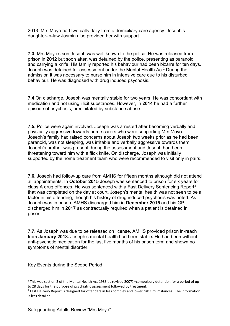2013. Mrs Moyo had two calls daily from a domiciliary care agency. Joseph's daughter-in-law Jasmin also provided her with support.

**7.3.** Mrs Moyo's son Joseph was well known to the police. He was released from prison in **2012** but soon after, was detained by the police, presenting as paranoid and carrying a knife. His family reported his behaviour had been bizarre for ten days. Joseph was detained for assessment under the Mental Health Act<sup>[3](#page-7-0)</sup> During the admission it was necessary to nurse him in intensive care due to his disturbed behaviour. He was diagnosed with drug induced psychosis.

**7.4** On discharge, Joseph was mentally stable for two years. He was concordant with medication and not using illicit substances. However, in **2014** he had a further episode of psychosis, precipitated by substance abuse.

**7.5.** Police were again involved. Joseph was arrested after becoming verbally and physically aggressive towards home carers who were supporting Mrs Moyo. Joseph's family had raised concerns about Joseph two weeks prior as he had been paranoid, was not sleeping, was irritable and verbally aggressive towards them. Joseph's brother was present during the assessment and Joseph had been threatening toward him with a flick knife. On discharge, Joseph was initially supported by the home treatment team who were recommended to visit only in pairs.

**7.6.** Joseph had follow-up care from AMHS for fifteen months although did not attend all appointments. In **October 2015** Joseph was sentenced to prison for six years for class A drug offences. He was sentenced with a Fast Delivery Sentencing Report[4](#page-7-1) that was completed on the day at court**.** Joseph's mental health was not seen to be a factor in his offending, though his history of drug induced psychosis was noted. As Joseph was in prison, AMHS discharged him in **December 2015** and his GP discharged him in **2017** as contractually required when a patient is detained in prison.

**7.7.** As Joseph was due to be released on license, AMHS provided prison in-reach from **January 2018.** Joseph's mental health had been stable**.** He had been without anti-psychotic medication for the last five months of his prison term and shown no symptoms of mental disorder.

Key Events during the Scope Period

<span id="page-7-0"></span><sup>&</sup>lt;sup>3</sup> This was section 2 of the Mental Health Act 1983(as revised 2007) –compulsory detention for a period of up to 28 days for the purpose of psychiatric assessment followed by treatment.

<span id="page-7-1"></span><sup>4</sup> Fast Delivery Report is designed for offenders in less complex and lower risk circumstances. The information is less detailed.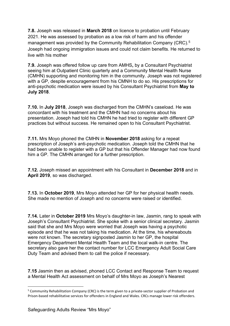**7.8.** Joseph was released in **March 2018** on licence to probation until February 2021. He was assessed by probation as a low risk of harm and his offender management was provided by the Community Rehabilitation Company (CRC).<sup>[5](#page-8-0)</sup> Joseph had ongoing immigration issues and could not claim benefits. He returned to live with his mother

**7.9.** Joseph was offered follow up care from AMHS**,** by a Consultant Psychiatrist seeing him at Outpatient Clinic quarterly and a Community Mental Health Nurse (CMHN) supporting and monitoring him in the community. Joseph was not registered with a GP, despite encouragement from his CMNH to do so. His prescriptions for anti-psychotic medication were issued by his Consultant Psychiatrist from **May to July 2018**.

**7.10.** In **July 2018**, Joseph was discharged from the CMHN's caseload. He was concordant with his treatment and the CMHN had no concerns about his presentation. Joseph had told his CMHN he had tried to register with different GP practices but without success. He remained open to his Consultant Psychiatrist.

**7.11.** Mrs Moyo phoned the CMHN in **November 2018** asking for a repeat prescription of Joseph's anti-psychotic medication. Joseph told the CMHN that he had been unable to register with a GP but that his Offender Manager had now found him a GP. The CMHN arranged for a further prescription.

**7.12.** Joseph missed an appointment with his Consultant in **December 2018** and in **April 2019**, so was discharged.

**7.13.** In **October 2019**, Mrs Moyo attended her GP for her physical health needs. She made no mention of Joseph and no concerns were raised or identified.

**7.14.** Later in **October 2019** Mrs Moyo's daughter-in law, Jasmin, rang to speak with Joseph's Consultant Psychiatrist. She spoke with a senior clinical secretary. Jasmin said that she and Mrs Moyo were worried that Joseph was having a psychotic episode and that he was not taking his medication. At the time, his whereabouts were not known. The secretary signposted Jasmin to her GP, the hospital Emergency Department Mental Health Team and the local walk-in centre. The secretary also gave her the contact number for LCC Emergency Adult Social Care Duty Team and advised them to call the police if necessary.

**7.15** Jasmin then as advised, phoned LCC Contact and Response Team to request a Mental Health Act assessment on behalf of Mrs Moyo as Joseph's Nearest

<span id="page-8-0"></span><sup>5</sup> Community Rehabilitation Company (CRC) is the term given to a private-sector supplier of Probation and Prison-based rehabilitative services for offenders in England and Wales. CRCs manage lower risk offenders.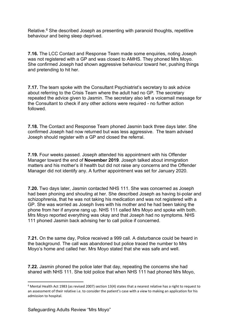Relative. $6$  She described Joseph as presenting with paranoid thoughts, repetitive behaviour and being sleep deprived.

**7.16.** The LCC Contact and Response Team made some enquiries, noting Joseph was not registered with a GP and was closed to AMHS. They phoned Mrs Moyo. She confirmed Joseph had shown aggressive behaviour toward her, pushing things and pretending to hit her.

**7.17.** The team spoke with the Consultant Psychiatrist's secretary to ask advice about referring to the Crisis Team where the adult had no GP. The secretary repeated the advice given to Jasmin. The secretary also left a voicemail message for the Consultant to check if any other actions were required - no further action followed.

**7.18.** The Contact and Response Team phoned Jasmin back three days later. She confirmed Joseph had now returned but was less aggressive. The team advised Joseph should register with a GP and closed the referral.

**7.19.** Four weeks passed. Joseph attended his appointment with his Offender Manager toward the end of **November 2019**. Joseph talked about immigration matters and his mother's ill health but did not raise any concerns and the Offender Manager did not identify any. A further appointment was set for January 2020.

**7.20.** Two days later, Jasmin contacted NHS 111. She was concerned as Joseph had been phoning and shouting at her. She described Joseph as having bi-polar and schizophrenia, that he was not taking his medication and was not registered with a GP. She was worried as Joseph lives with his mother and he had been taking the phone from her if anyone rang up. NHS 111 called Mrs Moyo and spoke with both. Mrs Moyo reported everything was okay and that Joseph had no symptoms. NHS 111 phoned Jasmin back advising her to call police if concerned.

**7.21.** On the same day, Police received a 999 call. A disturbance could be heard in the background. The call was abandoned but police traced the number to Mrs Moyo's home and called her. Mrs Moyo stated that she was safe and well.

**7.22.** Jasmin phoned the police later that day, repeating the concerns she had shared with NHS 111. She told police that when NHS 111 had phoned Mrs Moyo,

<span id="page-9-0"></span> $6$  Mental Health Act 1983 (as revised 2007) section 13(4) states that a nearest relative has a right to request to an assessment of their relative i.e. to consider the patient's case with a view to making an application for his admission to hospital.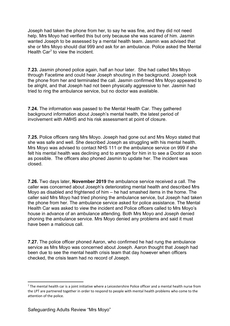Joseph had taken the phone from her, to say he was fine, and they did not need help. Mrs Moyo had verified this but only because she was scared of him. Jasmin wanted Joseph to be assessed by a mental health team. Jasmin was advised that she or Mrs Moyo should dial 999 and ask for an ambulance. Police asked the Mental Health Car<sup>[7](#page-10-0)</sup> to view the incident.

**7.23.** Jasmin phoned police again, half an hour later. She had called Mrs Moyo through Facetime and could hear Joseph shouting in the background. Joseph took the phone from her and terminated the call. Jasmin confirmed Mrs Moyo appeared to be alright, and that Joseph had not been physically aggressive to her. Jasmin had tried to ring the ambulance service, but no doctor was available.

**7.24.** The information was passed to the Mental Health Car. They gathered background information about Joseph's mental health, the latest period of involvement with AMHS and his risk assessment at point of closure.

**7.25.** Police officers rang Mrs Moyo. Joseph had gone out and Mrs Moyo stated that she was safe and well. She described Joseph as struggling with his mental health. Mrs Moyo was advised to contact NHS 111 or the ambulance service on 999 if she felt his mental health was declining and to arrange for him in to see a Doctor as soon as possible. The officers also phoned Jasmin to update her. The incident was closed.

**7.26.** Two days later, **November 2019** the ambulance service received a call. The caller was concerned about Joseph's deteriorating mental health and described Mrs Moyo as disabled and frightened of him – he had smashed items in the home. The caller said Mrs Moyo had tried phoning the ambulance service, but Joseph had taken the phone from her. The ambulance service asked for police assistance. The Mental Health Car was asked to view the incident and Police officers called to Mrs Moyo's house in advance of an ambulance attending. Both Mrs Moyo and Joseph denied phoning the ambulance service. Mrs Moyo denied any problems and said it must have been a malicious call.

**7.27.** The police officer phoned Aaron, who confirmed he had rung the ambulance service as Mrs Moyo was concerned about Joseph. Aaron thought that Joseph had been due to see the mental health crisis team that day however when officers checked, the crisis team had no record of Joseph.

<span id="page-10-0"></span> $<sup>7</sup>$  The mental health car is a joint initiative where a Leicestershire Police officer and a mental health nurse from</sup> the LPT are partnered together in order to respond to people with mental health problems who come to the attention of the police.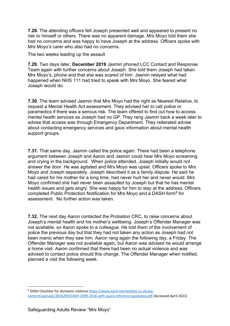**7.28.** The attending officers felt Joseph presented well and appeared to present no risk to himself or others. There was no apparent damage. Mrs Moyo told them she had no concerns and was happy to have Joseph at the address. Officers spoke with Mrs Moyo's carer who also had no concerns.

The two weeks leading up the assault

**7.29.** Two days later, **December 2019** Jasmin phoned LCC Contact and Response Team again with further concerns about Joseph. She told them Joseph had taken Mrs Moyo's, phone and that she was scared of him. Jasmin relayed what had happened when NHS 111 had tried to speak with Mrs Moyo. She feared what Joseph would do.

**7.30.** The team advised Jasmin that Mrs Moyo had the right as Nearest Relative, to request a Mental Health Act assessment. They advised her to call police or paramedics if there was a serious risk. The team offered to find out how to access mental health services as Joseph had no GP. They rang Jasmin back a week later to advise that access was through Emergency Department. They reiterated advise about contacting emergency services and gave information about mental health support groups.

**7.31.** That same day, Jasmin called the police again. There had been a telephone argument between Joseph and Aaron and Jasmin could hear Mrs Moyo screaming and crying in the background. When police attended, Joseph initially would not answer the door. He was agitated and Mrs Moyo was upset. Officers spoke to Mrs Moyo and Joseph separately. Joseph described it as a family dispute. He said he had cared for his mother for a long time, had never hurt her and never would. Mrs Moyo confirmed she had never been assaulted by Joseph but that he has mental health issues and gets angry. She was happy for him to stay at the address. Officers completed Public Protection Notification for Mrs Movo and a DASH form<sup>[8](#page-11-0)</sup> for assessment. No further action was taken.

**7.32.** The next day Aaron contacted the Probation CRC, to raise concerns about Joseph's mental health and his mother's wellbeing. Joseph's Offender Manager was not available, so Aaron spoke to a colleague. He told them of the involvement of police the previous day but that they had not taken any action as Joseph had not been manic when they saw him. Aaron rang again the following day, a Friday. The Offender Manager was not available again, but Aaron was advised he would arrange a home visit. Aaron confirmed that there had been no actual violence and was advised to contact police should this change. The Offender Manager when notified, planned a visit the following week.

<span id="page-11-0"></span><sup>8</sup> DASH Checklist for domestic violence [https://www.dashriskchecklist.co.uk/wp](https://www.dashriskchecklist.co.uk/wp-content/uploads/2016/09/DASH-2009-2016-with-quick-reference-guidance.pdf)[content/uploads/2016/09/DASH-2009-2016-with-quick-reference-guidance.pdf](https://www.dashriskchecklist.co.uk/wp-content/uploads/2016/09/DASH-2009-2016-with-quick-reference-guidance.pdf) [Accessed April 2021]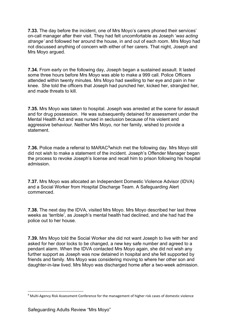**7.33.** The day before the incident, one of Mrs Moyo's carers phoned their services' on-call manager after their visit. They had felt uncomfortable as Joseph '*was acting strange'* and followed her around the house, in and out of each room. Mrs Moyo had not discussed anything of concern with either of her carers. That night, Joseph and Mrs Moyo argued.

**7.34.** From early on the following day, Joseph began a sustained assault. It lasted some three hours before Mrs Moyo was able to make a 999 call. Police Officers attended within twenty minutes. Mrs Moyo had swelling to her eye and pain in her knee. She told the officers that Joseph had punched her, kicked her, strangled her, and made threats to kill.

**7.35.** Mrs Moyo was taken to hospital. Joseph was arrested at the scene for assault and for drug possession. He was subsequently detained for assessment under the Mental Health Act and was nursed in seclusion because of his violent and aggressive behaviour. Neither Mrs Moyo, nor her family, wished to provide a statement.

**7.36.** Police made a referral to MARAC<sup>[9](#page-12-0)</sup>which met the following day. Mrs Moyo still did not wish to make a statement of the incident. Joseph's Offender Manager began the process to revoke Joseph's license and recall him to prison following his hospital admission.

**7.37.** Mrs Moyo was allocated an Independent Domestic Violence Advisor (IDVA) and a Social Worker from Hospital Discharge Team. A Safeguarding Alert commenced.

**7.38.** The next day the IDVA, visited Mrs Moyo. Mrs Moyo described her last three weeks as 'terrible', as Joseph's mental health had declined, and she had had the police out to her house.

**7.39.** Mrs Moyo told the Social Worker she did not want Joseph to live with her and asked for her door locks to be changed, a new key safe number and agreed to a pendant alarm. When the IDVA contacted Mrs Moyo again, she did not wish any further support as Joseph was now detained in hospital and she felt supported by friends and family. Mrs Moyo was considering moving to where her other son and daughter-in-law lived. Mrs Moyo was discharged home after a two-week admission.

<span id="page-12-0"></span><sup>9</sup> Multi-Agency Risk Assessment Conference for the management of higher risk cases of domestic violence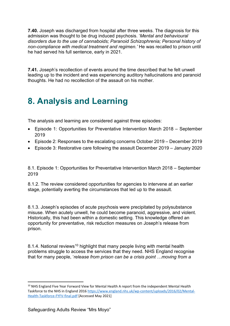**7.40.** Joseph was discharged from hospital after three weeks. The diagnosis for this admission was thought to be drug induced psychosis. '*Mental and behavioural disorders due to the use of cannaboids; Paranoid Schizophrenia; Personal history of non-compliance with medical treatment and regimen.'* He was recalled to prison until he had served his full sentence, early in 2021.

**7.41.** Joseph's recollection of events around the time described that he felt unwell leading up to the incident and was experiencing auditory hallucinations and paranoid thoughts. He had no recollection of the assault on his mother.

# <span id="page-13-0"></span>**8. Analysis and Learning**

The analysis and learning are considered against three episodes:

- Episode 1: Opportunities for Preventative Intervention March 2018 September 2019
- Episode 2: Responses to the escalating concerns October 2019 December 2019
- Episode 3: Restorative care following the assault December 2019 January 2020

8.1. Episode 1: Opportunities for Preventative Intervention March 2018 – September 2019

8.1.2. The review considered opportunities for agencies to intervene at an earlier stage, potentially averting the circumstances that led up to the assault.

8.1.3. Joseph's episodes of acute psychosis were precipitated by polysubstance misuse. When acutely unwell, he could become paranoid, aggressive, and violent. Historically, this had been within a domestic setting. This knowledge offered an opportunity for preventative, risk reduction measures on Joseph's release from prison.

8.1.4. National reviews<sup>[10](#page-13-1)</sup> highlight that many people living with mental health problems struggle to access the services that they need. NHS England recognise that for many people, '*release from prison can be a crisis point …moving from a* 

<span id="page-13-1"></span><sup>&</sup>lt;sup>10</sup> NHS England Five Year Forward View for Mental Health A report from the independent Mental Health Taskforce to the NHS in England 201[6 https://www.england.nhs.uk/wp-content/uploads/2016/02/Mental-](https://www.england.nhs.uk/wp-content/uploads/2016/02/Mental-Health-Taskforce-FYFV-final.pdf)[Health-Taskforce-FYFV-final.pdf](https://www.england.nhs.uk/wp-content/uploads/2016/02/Mental-Health-Taskforce-FYFV-final.pdf) [Accessed May 2021]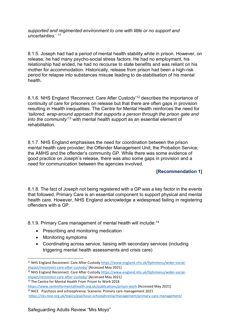*supported and regimented environment to one with little or no support and uncertainties*.' [11](#page-14-0)

8.1.5. Joseph had had a period of mental health stability while in prison. However, on release, he had many psycho-social stress factors. He had no employment, his relationship had ended, he had no recourse to state benefits and was reliant on his mother for accommodation. Historically, release from prison had been a high-risk period for relapse into substances misuse leading to de-stabilisation of his mental health.

8.1.6. NHS England 'Reconnect: Care After Custody'[12](#page-14-1) describes the importance of continuity of care for prisoners on release but that there are often gaps in provision resulting in Health inequalities. The Centre for Mental Health reinforces the need for '*tailored, wrap-around approach that supports a person through the prison gate and into the community'*[13](#page-14-2) with mental health support as an essential element of rehabilitation.

8.1.7. NHS England emphasises the need for coordination between the prison mental health care provider; the Offender Management Unit; the Probation Service; the AMHS and the offender's community GP. While there was some evidence of good practice on Joseph's release, there was also some gaps in provision and a need for communication between the agencies involved.

#### **[Recommendation 1]**

8.1.8. The fact of Joseph not being registered with a GP was a key factor in the events that followed. Primary Care is an essential component to support physical and mental health care. However, NHS England acknowledge a widespread failing in registering offenders with a GP.

8.1.9. Primary Care management of mental health will include:<sup>[14](#page-14-3)</sup>

- Prescribing and monitoring medication
- Monitoring symptoms
- Coordinating across service, liaising with secondary services (including triggering mental health assessments and crisis care)

<span id="page-14-0"></span><sup>11</sup> NHS England Reconnect: Care After Custody [https://www.england.nhs.uk/ltphimenu/wider-social](https://www.england.nhs.uk/ltphimenu/wider-social-impact/reconnect-care-after-custody/)[impact/reconnect-care-after-custody/](https://www.england.nhs.uk/ltphimenu/wider-social-impact/reconnect-care-after-custody/) [Accessed May 2021]

<span id="page-14-1"></span><sup>12</sup> NHS England Reconnect: Care After Custody [https://www.england.nhs.uk/ltphimenu/wider-social](https://www.england.nhs.uk/ltphimenu/wider-social-impact/reconnect-care-after-custody/)[impact/reconnect-care-after-custody/](https://www.england.nhs.uk/ltphimenu/wider-social-impact/reconnect-care-after-custody/) [Accessed May 2021]

<span id="page-14-2"></span><sup>&</sup>lt;sup>13</sup> The Centre for Mental Health From Prison to Work 2018

<span id="page-14-3"></span><https://www.centreformentalhealth.org.uk/publications/prison-work> [Accessed May 2021] <sup>14</sup> NICE Psychosis and schizophrenia: Scenario: Primary care management 2021

<https://cks.nice.org.uk/topics/psychosis-schizophrenia/management/primary-care-management/>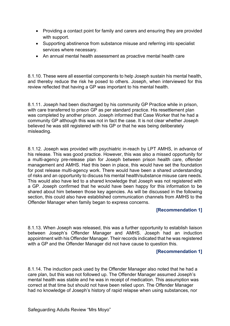- Providing a contact point for family and carers and ensuring they are provided with support.
- Supporting abstinence from substance misuse and referring into specialist services where necessary.
- An annual mental health assessment as proactive mental health care

8.1.10. These were all essential components to help Joseph sustain his mental health, and thereby reduce the risk he posed to others. Joseph, when interviewed for this review reflected that having a GP was important to his mental health.

8.1.11. Joseph had been discharged by his community GP Practice while in prison, with care transferred to prison GP as per standard practice. His resettlement plan was completed by another prison. Joseph informed that Case Worker that he had a community GP although this was not in fact the case. It is not clear whether Joseph believed he was still registered with his GP or that he was being deliberately misleading.

8.1.12. Joseph was provided with psychiatric in-reach by LPT AMHS, in advance of his release. This was good practice. However, this was also a missed opportunity for a multi-agency pre-release plan for Joseph between prison health care, offender management and AMHS. Had this been in place, this would have set the foundation for post release multi-agency work. There would have been a shared understanding of risks and an opportunity to discuss his mental health/substance misuse care needs. This would also have led to a shared knowledge that Joseph was not registered with a GP. Joseph confirmed that he would have been happy for this information to be shared about him between those key agencies. As will be discussed in the following section, this could also have established communication channels from AMHS to the Offender Manager when family began to express concerns.

#### **[Recommendation 1]**

8.1.13. When Joseph was released, this was a further opportunity to establish liaison between Joseph's Offender Manager and AMHS. Joseph had an induction appointment with his Offender Manager. Their records indicated that he was registered with a GP and the Offender Manager did not have cause to question this.

#### **[Recommendation 1]**

8.1.14. The induction pack used by the Offender Manager also noted that he had a care plan, but this was not followed up. The Offender Manager assumed Joseph's mental health was stable and he was in receipt of medication. This assumption was correct at that time but should not have been relied upon. The Offender Manager had no knowledge of Joseph's history of rapid relapse when using substances, nor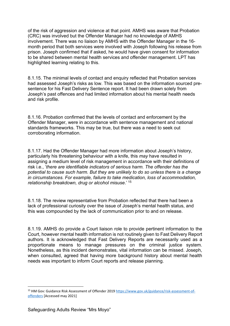of the risk of aggression and violence at that point. AMHS was aware that Probation (CRC) was involved but the Offender Manager had no knowledge of AMHS involvement. There was no liaison by AMHS with the Offender Manager in the 16 month period that both services were involved with Joseph following his release from prison. Joseph confirmed that if asked, he would have given consent for information to be shared between mental health services and offender management. LPT has highlighted learning relating to this.

8.1.15. The minimal levels of contact and enquiry reflected that Probation services had assessed Joseph's risks as low. This was based on the information sourced presentence for his Fast Delivery Sentence report. It had been drawn solely from Joseph's past offences and had limited information about his mental health needs and risk profile.

8.1.16. Probation confirmed that the levels of contact and enforcement by the Offender Manager, were in accordance with sentence management and national standards frameworks. This may be true, but there was a need to seek out corroborating information.

8.1.17. Had the Offender Manager had more information about Joseph's history, particularly his threatening behaviour with a knife, this *may* have resulted in assigning a medium level of risk management in accordance with their definitions of risk i.e., '*there are identifiable indicators of serious harm. The offender has the potential to cause such harm. But they are unlikely to do so unless there is a change in circumstances. For example, failure to take medication, loss of accommodation, relationship breakdown, drug or alcohol misuse*.' [15](#page-16-0)

8.1.18. The review representative from Probation reflected that there had been a lack of professional curiosity over the issue of Joseph's mental health status, and this was compounded by the lack of communication prior to and on release.

8.1.19. AMHS do provide a Court liaison role to provide pertinent information to the Court, however mental health information is not routinely given to Fast Delivery Report authors. It is acknowledged that Fast Delivery Reports are necessarily used as a proportionate means to manage pressures on the criminal justice system. Nonetheless, as this incident demonstrates, vital information can be missed. Joseph, when consulted, agreed that having more background history about mental health needs was important to inform Court reports and release planning.

<span id="page-16-0"></span><sup>&</sup>lt;sup>15</sup> HM Gov: Guidance Risk Assessment of Offender 2019 [https://www.gov.uk/guidance/risk-assessment-of](https://www.gov.uk/guidance/risk-assessment-of-offenders)[offenders](https://www.gov.uk/guidance/risk-assessment-of-offenders) [Accessed may 2021]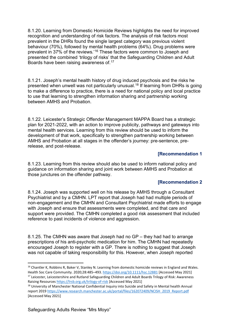8.1.20. Learning from Domestic Homicide Reviews highlights the need for improved recognition and understanding of risk factors. The analysis of risk factors most prevalent in the DHRs found the single largest category was previous violent behaviour (70%), followed by mental health problems (64%). Drug problems were prevalent in 37% of the reviews.'<sup>[16](#page-17-0)</sup> These factors were common to Joseph and presented the combined 'trilogy of risks' that the Safeguarding Children and Adult Boards have been raising awareness of.[17](#page-17-1)

8.1.21. Joseph's mental health history of drug induced psychosis and the risks he presented when unwell was not particularly unusual.[18](#page-17-2) If learning from DHRs is going to make a difference to practice, there is a need for national policy and local practice to use that learning to strengthen information sharing and partnership working between AMHS and Probation.

8.1.22. Leicester's Strategic Offender Management MAPPA Board has a strategic plan for 2021-2022, with an action to improve publicity, pathways and gateways into mental health services. Learning from this review should be used to inform the development of that work, specifically to strengthen partnership working between AMHS and Probation at all stages in the offender's journey: pre-sentence, prerelease, and post-release.

#### **[Recommendation 1**

8.1.23. Learning from this review should also be used to inform national policy and guidance on information sharing and joint work between AMHS and Probation at those junctures on the offender pathway.

#### **[Recommendation 2**

8.1.24. Joseph was supported well on his release by AMHS through a Consultant Psychiatrist and by a CMHN. LPT report that Joseph had had multiple periods of non-engagement and the CMHN and Consultant Psychiatrist made efforts to engage with Joseph and ensure that assessments were completed, and that care and support were provided. The CMHN completed a good risk assessment that included reference to past incidents of violence and aggression.

8.1.25. The CMHN was aware that Joseph had no GP – they had had to arrange prescriptions of his anti-psychotic medication for him. The CMHN had repeatedly encouraged Joseph to register with a GP. There is nothing to suggest that Joseph was not capable of taking responsibility for this. However, when Joseph reported

<span id="page-17-0"></span><sup>&</sup>lt;sup>16</sup> Chantler K, Robbins R, Baker V, Stanley N. Learning from domestic homicide reviews in England and Wales. Health Soc Care Community. 2020;28:485–493.<https://doi.org/10.1111/hsc.12881> [Accessed May 2021] <sup>17</sup> Leicester, Leicestershire and Rutland Safeguarding Children and Adult Boards Trilogy of Risk: Awareness Raising Resource[s https://lrsb.org.uk/trilogy-of-risk](https://lrsb.org.uk/trilogy-of-risk) [Accessed May 2021]

<span id="page-17-2"></span><span id="page-17-1"></span><sup>&</sup>lt;sup>18</sup> University of Manchester National Confidential Inquiry into Suicide and Safety in Mental health Annual report 201[9 https://www.research.manchester.ac.uk/portal/files/162072409/NCISH\\_2019\\_Report.pdf](https://www.research.manchester.ac.uk/portal/files/162072409/NCISH_2019_Report.pdf) [Accessed May 2021]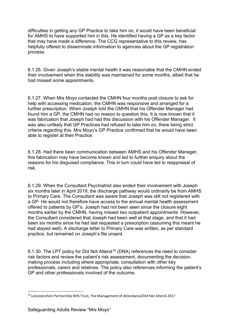difficulties in getting any GP Practice to take him on, it would have been beneficial for AMHS to have supported him in this. He identified having a GP as a key factor that may have made a difference. The CCG representative to this review, has helpfully offered to disseminate information to agencies about the GP registration process.

8.1.26. Given Joseph's stable mental health it was reasonable that the CMHN ended their involvement when this stability was maintained for some months, albeit that he had missed some appointments.

8.1.27. When Mrs Moyo contacted the CMHN four months post closure to ask for help with accessing medication, the CMHN was responsive and arranged for a further prescription. When Joseph told the CMHN that his Offender Manager had found him a GP, the CMHN had no reason to question this. It is now known that it was fabrication that Joseph had had this discussion with his Offender Manager. It was also unlikely that GP Practices had refused to take him on, there being strict criteria regarding this. Mrs Moyo's GP Practice confirmed that he would have been able to register at their Practice.

8.1.28. Had there been communication between AMHS and his Offender Manager, this fabrication may have become known and led to further enquiry about the reasons for his disguised compliance. This in turn could have led to reappraisal of risk.

8.1.29. When the Consultant Psychiatrist also ended their involvement with Joseph six months later in April 2019, the discharge pathway would ordinarily be from AMHS to Primary Care. The Consultant was aware that Joseph was still not registered with a GP. He would not therefore have access to the annual mental health assessment offered to patients by GP's. Joseph had not been seen since the closure eight months earlier by the CMHN, having missed two outpatient appointments. However, the Consultant considered that Joseph had been well at that stage, and that it had been six months since he had last requested a prescription (assuming this meant he had stayed well). A discharge letter to Primary Care was written, as per standard practice, but remained on Joseph's file unsent.

8.1.30. The LPT policy for Did Not Attend<sup>[19](#page-18-0)</sup> (DNA) references the need to consider risk factors and review the patient's risk assessment, documenting the decisionmaking process including where appropriate, consultation with other key professionals, carers and relatives. The policy also references informing the patient's GP and other professionals involved of the outcome.

<span id="page-18-0"></span><sup>19</sup> Leicestershire Partnership NHS Trust, The Management of Attendance/Did Not Attend 2017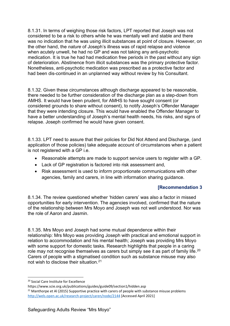8.1.31. In terms of weighing those risk factors, LPT reported that Joseph was not considered to be a risk to others while he was mentally well and stable and there was no indication that he was using illicit substances at point of closure. However, on the other hand, the *nature* of Joseph's illness was of rapid relapse and violence when acutely unwell, he had no GP and was not taking any anti-psychotic medication. It is true he had had medication free periods in the past without any sign of deterioration. Abstinence from illicit substances was the primary protective factor. Nonetheless, anti-psychotic medication was prescribed as a protective factor and had been dis-continued in an unplanned way without review by his Consultant.

8.1.32. Given these circumstances although discharge appeared to be reasonable, there needed to be further consideration of the discharge plan as a step-down from AMHS. It would have been prudent, for AMHS to have sought consent (or considered grounds to share without consent), to notify Joseph's Offender Manager that they were intending closure. This would have enabled the Offender Manager to have a better understanding of Joseph's mental health needs, his risks, and signs of relapse. Joseph confirmed he would have given consent.

8.1.33. LPT need to assure that their policies for Did Not Attend and Discharge, (and application of those policies) take adequate account of circumstances when a patient is not registered with a GP i.e.

- Reasonable attempts are made to support service users to register with a GP.
- Lack of GP registration is factored into risk assessment and,
- Risk assessment is used to inform proportionate communications with other agencies, family and carers, in line with information sharing guidance.

#### **[Recommendation 3**

8.1.34. The review questioned whether 'hidden carers' was also a factor in missed opportunities for early intervention. The agencies involved, confirmed that the nature of the relationship between Mrs Moyo and Joseph was not well understood. Nor was the role of Aaron and Jasmin.

8.1.35. Mrs Moyo and Joseph had some mutual dependence within their relationship: Mrs Moyo was providing Joseph with practical and emotional support in relation to accommodation and his mental health; Joseph was providing Mrs Moyo with some support for domestic tasks. Research highlights that people in a caring role may not recognise themselves as carers but simply see it as part of family life.<sup>[20](#page-19-0)</sup> Carers of people with a stigmatised condition such as substance misuse may also not wish to disclose their situation.[21](#page-19-1)

<span id="page-19-0"></span><sup>20</sup> Social Care Institute for Excellence

<span id="page-19-1"></span>https://www.scie.org.uk/publications/guides/guide09/section1/hidden.asp <sup>21</sup> Manthorpe et Al (2015) Supportive practice with carers of people with substance misuse problems <http://wels.open.ac.uk/research-project/caren/node/2144> [Accessed April 2021]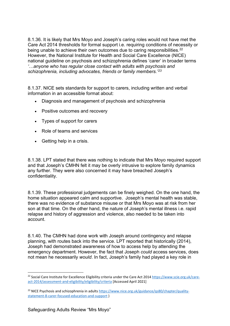8.1.36. It is likely that Mrs Moyo and Joseph's caring roles would not have met the Care Act 2014 thresholds for formal support i.e. requiring conditions of necessity or being unable to achieve their own outcomes due to caring responsibilities.<sup>[22](#page-20-0)</sup> However, the National Institute for Health and Social Care Excellence (NICE) national guideline on psychosis and schizophrenia defines 'carer' in broader terms *'…anyone who has regular close contact with adults with psychosis and schizophrenia, including advocates, friends or family members.'[23](#page-20-1)*

8.1.37. NICE sets standards for support to carers, including written and verbal information in an accessible format about:

- Diagnosis and management of psychosis and schizophrenia
- Positive outcomes and recovery
- Types of support for carers
- Role of teams and services
- Getting help in a crisis.

8.1.38. LPT stated that there was nothing to indicate that Mrs Moyo required support and that Joseph's CMHN felt it may be overly intrusive to explore family dynamics any further. They were also concerned it may have breached Joseph's confidentiality.

8.1.39. These professional judgements can be finely weighed. On the one hand, the home situation appeared calm and supportive. Joseph's mental health was stable, there was no evidence of substance misuse or that Mrs Moyo was at risk from her son at that time. On the other hand, the nature of Joseph's mental illness i.e. rapid relapse and history of aggression and violence, also needed to be taken into account.

8.1.40. The CMHN had done work with Joseph around contingency and relapse planning, with routes back into the service. LPT reported that historically (2014), Joseph had demonstrated awareness of how to access help by attending the emergency department. However, the fact that Joseph *could* access services, does not mean he necessarily *would*. In fact, Joseph's family had played a key role in

<span id="page-20-0"></span> $^{22}$  Social Care Institute for Excellence Eligibility criteria under the Care Act 2014 [https://www.scie.org.uk/care](https://www.scie.org.uk/care-act-2014/assessment-and-eligibility/eligibility/criteria)[act-2014/assessment-and-eligibility/eligibility/criteria](https://www.scie.org.uk/care-act-2014/assessment-and-eligibility/eligibility/criteria) [Accessed April 2021]

<span id="page-20-1"></span><sup>&</sup>lt;sup>23</sup> NICE Psychosis and schizophrenia in adults [https://www.nice.org.uk/guidance/qs80/chapter/quality](https://www.nice.org.uk/guidance/qs80/chapter/quality-statement-8-carer-focused-education-and-support)[statement-8-carer-focused-education-and-support](https://www.nice.org.uk/guidance/qs80/chapter/quality-statement-8-carer-focused-education-and-support) )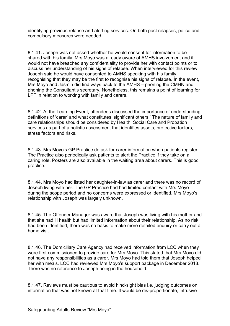identifying previous relapse and alerting services. On both past relapses, police and compulsory measures were needed.

8.1.41. Joseph was not asked whether he would consent for information to be shared with his family. Mrs Moyo was already aware of AMHS involvement and it would not have breached any confidentiality to provide her with contact points or to discuss her understanding of his signs of relapse. When interviewed for this review, Joseph said he would have consented to AMHS speaking with his family, recognising that they may be the first to recognise his signs of relapse. In the event, Mrs Moyo and Jasmin did find ways back to the AMHS – phoning the CMHN and phoning the Consultant's secretary. Nonetheless, this remains a point of learning for LPT in relation to working with family and carers.

8.1.42. At the Learning Event, attendees discussed the importance of understanding definitions of 'carer' and what constitutes 'significant others.' The nature of family and care relationships should be considered by Health, Social Care and Probation services as part of a holistic assessment that identifies assets, protective factors, stress factors and risks.

8.1.43. Mrs Moyo's GP Practice do ask for carer information when patients register. The Practice also periodically ask patients to alert the Practice if they take on a caring role. Posters are also available in the waiting area about carers. This is good practice.

8.1.44. Mrs Moyo had listed her daughter-in-law as carer and there was no record of Joseph living with her. The GP Practice had had limited contact with Mrs Moyo during the scope period and no concerns were expressed or identified. Mrs Moyo's relationship with Joseph was largely unknown.

8.1.45. The Offender Manager was aware that Joseph was living with his mother and that she had ill health but had limited information about their relationship. As no risk had been identified, there was no basis to make more detailed enquiry or carry out a home visit.

8.1.46. The Domiciliary Care Agency had received information from LCC when they were first commissioned to provide care for Mrs Moyo. This stated that Mrs Moyo did not have any responsibilities as a carer. Mrs Moyo had told them that Joseph helped her with meals. LCC had reviewed Mrs Moyo's support package in December 2018. There was no reference to Joseph being in the household.

8.1.47. Reviews must be cautious to avoid hind-sight bias i.e. judging outcomes on information that was not known at that time. It would be dis-proportionate, intrusive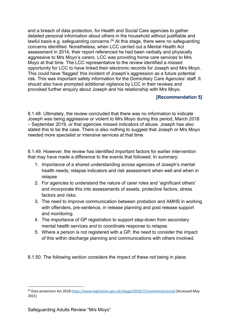and a breach of data protection, for Health and Social Care agencies to gather detailed personal information about others in the household without justifiable and lawful basis e.g. safeguarding concerns.<sup>[24](#page-22-0)</sup> At this stage, there were no safeguarding concerns identified. Nonetheless, when LCC carried out a Mental Health Act assessment in 2014, their report referenced he had been verbally and physically aggressive to Mrs Moyo's carers. LCC was providing home care services to Mrs Moyo at that time. The LCC representative to the review identified a missed opportunity for LCC to have linked their electronic records for Joseph and Mrs Moyo. This could have 'flagged' this incident of Joseph's aggression as a future potential risk. This was important safety information for the Domiciliary Care Agencies' staff. It should also have prompted additional vigilance by LCC in their reviews and provoked further enquiry about Joseph and his relationship with Mrs Moyo.

#### **[Recommendation 5]**

8.1.48. Ultimately, the review concluded that there was no information to indicate Joseph was being aggressive or violent to Mrs Moyo during this period, March 2018 – September 2019, or that agencies missed indicators of abuse. Joseph has also stated this to be the case. There is also nothing to suggest that Joseph or Mrs Moyo needed more specialist or intensive services at that time.

8.1.49. However, the review has identified important factors for earlier intervention that may have made a difference to the events that followed. In summary:

- 1. Importance of a shared understanding across agencies of Joseph's mental health needs; relapse indicators and risk assessment when well and when in relapse
- 2. For agencies to understand the nature of carer roles and 'significant others' and incorporate this into assessments of assets, protective factors, stress factors and risks.
- 3. The need to improve communication between probation and AMHS in working with offenders, pre-sentence, in release planning and post release support and monitoring.
- 4. The importance of GP registration to support step-down from secondary mental health services and to coordinate response to relapse.
- 5. Where a person is not registered with a GP, the need to consider the impact of this within discharge planning and communications with others involved.

8.1.50. The following section considers the impact of these not being in place.

<span id="page-22-0"></span><sup>&</sup>lt;sup>24</sup> Data protection Act 2018<https://www.legislation.gov.uk/ukpga/2018/12/contents/enacted> [Accessed May 2021]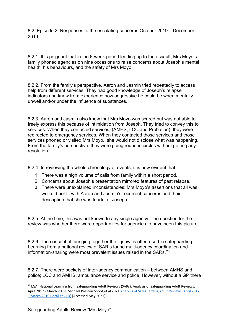8.2. Episode 2: Responses to the escalating concerns October 2019 – December 2019

8.2.1. It is poignant that in the 6-week period leading up to the assault, Mrs Moyo's family phoned agencies on nine occasions to raise concerns about Joseph's mental health, his behaviours, and the safety of Mrs Moyo.

8.2.2. From the family's perspective, Aaron and Jasmin tried repeatedly to access help from different services. They had good knowledge of Joseph's relapse indicators and knew from experience how aggressive he could be when mentally unwell and/or under the influence of substances.

8.2.3. Aaron and Jasmin also knew that Mrs Moyo was scared but was not able to freely express this because of intimidation from Joseph. They tried to convey this to services. When they contacted services, (AMHS, LCC and Probation), they were redirected to emergency services. When they contacted those services and those services phoned or visited Mrs Moyo., she would not disclose what was happening. From the family's perspective, they were going round in circles without getting any resolution.

8.2.4. In reviewing the whole chronology of events, it is now evident that:

- 1. There was a high volume of calls from family within a short period.
- 2. Concerns about Joseph's presentation mirrored features of past relapse.
- 3. There were unexplained inconsistencies: Mrs Moyo's assertions that all was well did not fit with Aaron and Jasmin's recurrent concerns and their description that she was fearful of Joseph.

8.2.5. At the time, this was not known to any single agency. The question for the review was whether there were opportunities for agencies to have seen this picture.

8.2.6. The concept of 'bringing together the jigsaw' is often used in safeguarding. Learning from a national review of SAR's found multi-agency coordination and information-sharing were most prevalent issues raised in the SARs.[25](#page-23-0)

8.2.7. There were pockets of inter-agency communication – between AMHS and police; LCC and AMHS; ambulance service and police. However, without a GP there

<span id="page-23-0"></span><sup>&</sup>lt;sup>25</sup> LGA: National Learning from Safeguarding Adult Reviews (SARs): Analysis of Safeguarding Adult Reviews: April 2017 - March 2019: Michael Preston Shoot et al 2021 [Analysis of Safeguarding Adult Reviews, April 2017](https://www.local.gov.uk/sites/default/files/documents/National%20SAR%20Analysis%20Final%20Report%20WEB.pdf)  [– March 2019 \(local.gov.uk\)](https://www.local.gov.uk/sites/default/files/documents/National%20SAR%20Analysis%20Final%20Report%20WEB.pdf) [Accessed May 2021]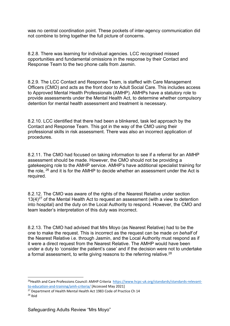was no central coordination point. These pockets of inter-agency communication did not combine to bring together the full picture of concerns.

8.2.8. There was learning for individual agencies. LCC recognised missed opportunities and fundamental omissions in the response by their Contact and Response Team to the two phone calls from Jasmin.

8.2.9. The LCC Contact and Response Team, is staffed with Care Management Officers (CMO) and acts as the front door to Adult Social Care. This includes access to Approved Mental Health Professionals (AMHP). AMHPs have a statutory role to provide assessments under the Mental Health Act, to determine whether compulsory detention for mental health assessment and treatment is necessary.

8.2.10. LCC identified that there had been a blinkered, task led approach by the Contact and Response Team. This got in the way of the CMO using their professional skills in risk assessment. There was also an incorrect application of procedures.

8.2.11. The CMO had focused on taking information to see if a referral for an AMHP assessment should be made. However, the CMO should not be providing a gatekeeping role to the AMHP service. AMHP's have additional specialist training for the role,  $26$  and it is for the AMHP to decide whether an assessment under the Act is required.

8.2.12. The CMO was aware of the rights of the Nearest Relative under section  $13(4)^{27}$  $13(4)^{27}$  $13(4)^{27}$  of the Mental Health Act to request an assessment (with a view to detention into hospital) and the duty on the Local Authority to respond. However, the CMO and team leader's interpretation of this duty was incorrect.

8.2.13. The CMO had advised that Mrs Moyo (as Nearest Relative) had to be the one to make the request. This is incorrect as the request can be made *on behalf* of the Nearest Relative i.e. through Jasmin, and the Local Authority must respond as if it were a direct request from the Nearest Relative. The AMHP would have been under a duty to 'consider the patient's case' and if the decision were not to undertake a formal assessment, to write giving reasons to the referring relative.  $28$ 

<span id="page-24-0"></span><sup>&</sup>lt;sup>26</sup>Health and Care Professions Council: AMHP Criteria [https://www.hcpc-uk.org/standards/standards-relevant](https://www.hcpc-uk.org/standards/standards-relevant-to-education-and-training/amh-criteria/)[to-education-and-training/amh-criteria/](https://www.hcpc-uk.org/standards/standards-relevant-to-education-and-training/amh-criteria/) [Accessed May 2021]

<span id="page-24-1"></span> $27$  Department of Health Mental Health Act 1983 Code of Practice Ch 14

<span id="page-24-2"></span> $28$  Ibid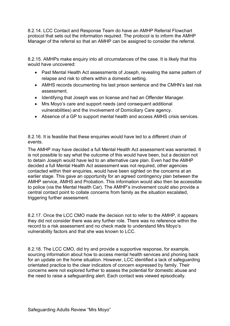8.2.14. LCC Contact and Response Team do have an AMHP Referral Flowchart protocol that sets out the information required. The protocol is to inform the AMHP Manager of the referral so that an AMHP can be assigned to consider the referral.

8.2.15. AMHPs make enquiry into all circumstances of the case. It is likely that this would have uncovered:

- Past Mental Health Act assessments of Joseph, revealing the same pattern of relapse and risk to others within a domestic setting.
- AMHS records documenting his last prison sentence and the CMHN's last risk assessment.
- Identifying that Joseph was on license and had an Offender Manager.
- Mrs Moyo's care and support needs (and consequent additional vulnerabilities) and the involvement of Domiciliary Care agency.
- Absence of a GP to support mental health and access AMHS crisis services.

8.2.16. It is feasible that these enquiries would have led to a different chain of events.

The AMHP may have decided a full Mental Health Act assessment was warranted. It is not possible to say what the outcome of this would have been, but a decision not to detain Joseph would have led to an alternative care plan. Even had the AMHP decided a full Mental Health Act assessment was not required, other agencies contacted within their enquiries, would have been sighted on the concerns at an earlier stage. This gave an opportunity for an agreed contingency plan between the AMHP service, AMHS and Probation. This information would also then be accessible to police (via the Mental Health Car). The AMHP's involvement could also provide a central contact point to collate concerns from family as the situation escalated, triggering further assessment.

8.2.17. Once the LCC CMO made the decision not to refer to the AMHP, it appears they did not consider there was any further role. There was no reference within the record to a risk assessment and no check made to understand Mrs Moyo's vulnerability factors and that she was known to LCC.

8.2.18. The LCC CMO, did try and provide a supportive response, for example, sourcing information about how to access mental health services and phoning back for an update on the home situation. However, LCC identified a lack of safeguarding orientated practice to the clear indicators of concern expressed by family. Their concerns were not explored further to assess the potential for domestic abuse and the need to raise a safeguarding alert. Each contact was viewed episodically.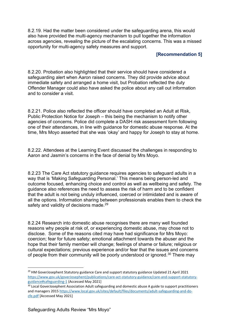8.2.19. Had the matter been considered under the safeguarding arena, this would also have provided the multi-agency mechanism to pull together the information across agencies, revealing the picture of the escalating concerns. This was a missed opportunity for multi-agency safety measures and support.

#### **[Recommendation 5]**

8.2.20. Probation also highlighted that their service should have considered a safeguarding alert when Aaron raised concerns. They did provide advice about immediate safety and arranged a home visit, but Probation reflected the duty Offender Manager could also have asked the police about any call out information and to consider a visit.

8.2.21. Police also reflected the officer should have completed an Adult at Risk, Public Protection Notice for Joseph – this being the mechanism to notify other agencies of concerns. Police did complete a DASH risk assessment form following one of their attendances, in line with guidance for domestic abuse response. At the time, Mrs Moyo asserted that she was 'okay' and happy for Joseph to stay at home.

8.2.22. Attendees at the Learning Event discussed the challenges in responding to Aaron and Jasmin's concerns in the face of denial by Mrs Moyo.

8.2.23 The Care Act statutory guidance requires agencies to safeguard adults in a way that is 'Making Safeguarding Personal.' This means being person-led and outcome focused, enhancing choice and control as well as wellbeing and safety. The guidance also references the need to assess the risk of harm and to be confident that the adult is not being unduly influenced, coerced or intimidated and is aware of all the options. Information sharing between professionals enables them to check the safety and validity of decisions made.<sup>[29](#page-26-0)</sup>

8.2.24 Research into domestic abuse recognises there are many well founded reasons why people at risk of, or experiencing domestic abuse, may chose not to disclose. Some of the reasons cited may have had significance for Mrs Moyo: coercion; fear for future safety; emotional attachment towards the abuser and the hope that their family member will change; feelings of shame or failure; religious or cultural expectations; previous experience and/or fear that the issues and concerns of people from their community will be poorly understood or ignored.<sup>[30](#page-26-1)</sup> There may

<span id="page-26-0"></span><sup>&</sup>lt;sup>29</sup> HM GoverJosephent Statutory guidance Care and support statutory guidance Updated 21 April 2021 [https://www.gov.uk/goverJosephent/publications/care-act-statutory-guidance/care-and-support-statutory](https://www.gov.uk/government/publications/care-act-statutory-guidance/care-and-support-statutory-guidance#safeguarding-1)[guidance#safeguarding-1](https://www.gov.uk/government/publications/care-act-statutory-guidance/care-and-support-statutory-guidance#safeguarding-1) {Accessed May 2021]

<span id="page-26-1"></span><sup>&</sup>lt;sup>30</sup> Local GoverJosephent Association Adult safeguarding and domestic abuse A guide to support practitioners and managers 2015 [https://www.local.gov.uk/sites/default/files/documents/adult-safeguarding-and-do](https://www.local.gov.uk/sites/default/files/documents/adult-safeguarding-and-do-cfe.pdf)[cfe.pdf](https://www.local.gov.uk/sites/default/files/documents/adult-safeguarding-and-do-cfe.pdf) [Accessed May 2021]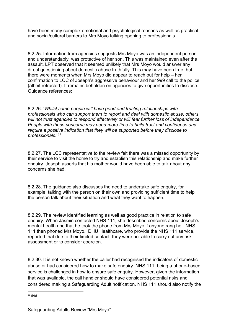have been many complex emotional and psychological reasons as well as practical and social/cultural barriers to Mrs Moyo talking opening to professionals.

8.2.25. Information from agencies suggests Mrs Moyo was an independent person and understandably, was protective of her son. This was maintained even after the assault. LPT observed that it seemed unlikely that Mrs Moyo would answer any direct questioning about domestic abuse truthfully. This may have been true, but there were moments when Mrs Moyo did appear to reach out for help – her confirmation to LCC of Joseph's aggressive behaviour and her 999 call to the police (albeit retracted). It remains beholden on agencies to give opportunities to disclose. Guidance references:

8.2.26. '*Whilst some people will have good and trusting relationships with professionals who can support them to report and deal with domestic abuse, others will not trust agencies to respond effectively or will fear further loss of independence. People with these concerns may need more time to build trust and confidence and require a positive indication that they will be supported before they disclose to professionals*.'[31](#page-27-0)

8.2.27. The LCC representative to the review felt there was a missed opportunity by their service to visit the home to try and establish this relationship and make further enquiry. Joseph asserts that his mother would have been able to talk about any concerns she had.

8.2.28. The guidance also discusses the need to undertake safe enquiry, for example, talking with the person on their own and providing sufficient time to help the person talk about their situation and what they want to happen.

8.2.29. The review identified learning as well as good practice in relation to safe enquiry. When Jasmin contacted NHS 111, she described concerns about Joseph's mental health and that he took the phone from Mrs Moyo if anyone rang her. NHS 111 then phoned Mrs Moyo. DHU Healthcare, who provide the NHS 111 service, reported that due to their limited contact, they were not able to carry out any risk assessment or to consider coercion.

8.2.30. It is not known whether the caller had recognised the indicators of domestic abuse or had considered how to make safe enquiry. NHS 111, being a phone-based service is challenged in how to ensure safe enquiry. However, given the information that was available, the call handler should have considered potential risks and considered making a Safeguarding Adult notification. NHS 111 should also notify the

<span id="page-27-0"></span> $31$  Ibid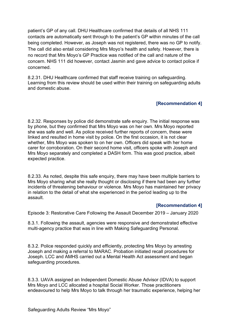patient's GP of any call. DHU Healthcare confirmed that details of all NHS 111 contacts are automatically sent through to the patient's GP within minutes of the call being completed. However, as Joseph was not registered, there was no GP to notify. The call did also entail considering Mrs Moyo's health and safety. However, there is no record that Mrs Moyo's GP Practice was notified of the call and nature of the concern. NHS 111 did however, contact Jasmin and gave advice to contact police if concerned.

8.2.31. DHU Healthcare confirmed that staff receive training on safeguarding. Learning from this review should be used within their training on safeguarding adults and domestic abuse.

#### **[Recommendation 4]**

8.2.32. Responses by police did demonstrate safe enquiry. The initial response was by phone, but they confirmed that Mrs Moyo was on her own. Mrs Moyo reported she was safe and well. As police received further reports of concern, these were linked and resulted in home visit by police. On the first occasion, it is not clear whether, Mrs Moyo was spoken to on her own. Officers did speak with her home carer for corroboration. On their second home visit, officers spoke with Joseph and Mrs Moyo separately and completed a DASH form. This was good practice, albeit expected practice.

8.2.33. As noted, despite this safe enquiry, there may have been multiple barriers to Mrs Moyo sharing what she really thought or disclosing if there had been any further incidents of threatening behaviour or violence. Mrs Moyo has maintained her privacy in relation to the detail of what she experienced in the period leading up to the assault.

#### **[Recommendation 4]**

Episode 3: Restorative Care Following the Assault December 2019 – January 2020

8.3.1. Following the assault, agencies were responsive and demonstrated effective multi-agency practice that was in line with Making Safeguarding Personal.

8.3.2. Police responded quickly and efficiently, protecting Mrs Moyo by arresting Joseph and making a referral to MARAC. Probation initiated recall procedures for Joseph. LCC and AMHS carried out a Mental Health Act assessment and began safeguarding procedures.

8.3.3. UAVA assigned an Independent Domestic Abuse Advisor (IDVA) to support Mrs Moyo and LCC allocated a hospital Social Worker. Those practitioners endeavoured to help Mrs Moyo to talk through her traumatic experience, helping her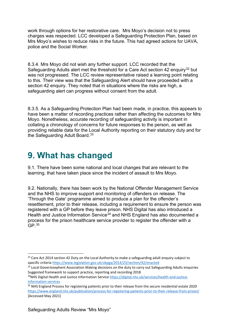work through options for her restorative care. Mrs Moyo's decision not to press charges was respected. LCC developed a Safeguarding Protection Plan, based on Mrs Moyo's wishes to reduce risks in the future. This had agreed actions for UAVA, police and the Social Worker.

8.3.4. Mrs Moyo did not wish any further support. LCC recorded that the Safeguarding Adults alert met the threshold for a Care Act section 42 enquiry<sup>[32](#page-29-1)</sup> but was not progressed. The LCC review representative raised a learning point relating to this. Their view was that the Safeguarding Alert should have proceeded with a section 42 enquiry. They noted that in situations where the risks are high, a safeguarding alert can progress without consent from the adult.

8.3.5. As a Safeguarding Protection Plan had been made, in practice, this appears to have been a matter of recording practices rather than affecting the outcomes for Mrs Moyo. Nonetheless, accurate recording of safeguarding activity is important in collating a chronology of concerns for future responses to the person, as well as providing reliable data for the Local Authority reporting on their statutory duty and for the Safeguarding Adult Board.<sup>[33](#page-29-2)</sup>

## <span id="page-29-0"></span>**9. What has changed**

9.1. There have been some national and local changes that are relevant to the learning, that have taken place since the incident of assault to Mrs Moyo.

9.2. Nationally, there has been work by the National Offender Management Service and the NHS to improve support and monitoring of offenders on release. The 'Through the Gate' programme aimed to produce a plan for the offender's resettlement, prior to their release, including a requirement to ensure the person was registered with a GP before they leave prison. NHS Digital has also introduced a Health and Justice Information Service<sup>[34](#page-29-3)</sup> and NHS England has also documented a process for the prison healthcare service provider to register the offender with a  $GP<sup>35</sup>$  $GP<sup>35</sup>$  $GP<sup>35</sup>$ 

<span id="page-29-1"></span> $32$  Care Act 2014 section 42 Duty on the Local Authority to make a safeguarding adult enquiry subject to specific criteria https://www.legislation.gov.uk/ukpga/2014/23/section/42/enacted

<span id="page-29-2"></span><sup>&</sup>lt;sup>33</sup> Local GoverJosephent Association Making decisions on the duty to carry out Safeguarding Adults enquiries Suggested framework to support practice, reporting and recording 2018

<span id="page-29-3"></span><sup>&</sup>lt;sup>34</sup>NHS Digital Health and Justice Information Servic[e https://digital.nhs.uk/services/health-and-justice](https://digital.nhs.uk/services/health-and-justice-information-services)information-services<br><sup>35</sup> NHS England Process for registering patients prior to their release from the secure residential estate 2020

<span id="page-29-4"></span><https://www.england.nhs.uk/publication/process-for-registering-patients-prior-to-their-release-from-prison/> [Accessed May 2021]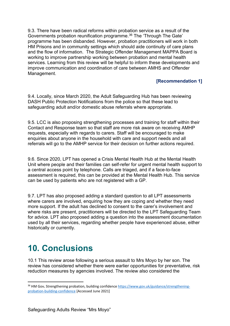9.3. There have been radical reforms within probation service as a result of the Governments probation reunification programme.[36](#page-30-1) The 'Through The Gate' programme has been disbanded. However, probation practitioners will work in both HM Prisons and in community settings which should aide continuity of care plans and the flow of information. The Strategic Offender Management MAPPA Board is working to improve partnership working between probation and mental health services. Learning from this review will be helpful to inform these developments and improve communication and coordination of care between AMHS and Offender Management.

#### **[Recommendation 1]**

9.4. Locally, since March 2020, the Adult Safeguarding Hub has been reviewing DASH Public Protection Notifications from the police so that these lead to safeguarding adult and/or domestic abuse referrals where appropriate.

9.5. LCC is also proposing strengthening processes and training for staff within their Contact and Response team so that staff are more risk aware on receiving AMHP requests, especially with regards to carers. Staff will be encouraged to make enquiries about anyone in the household with care and support needs and all referrals will go to the AMHP service for their decision on further actions required.

9.6. Since 2020, LPT has opened a Crisis Mental Health Hub at the Mental Health Unit where people and their families can self-refer for urgent mental health support to a central access point by telephone. Calls are triaged, and if a face-to-face assessment is required, this can be provided at the Mental Health Hub. This service can be used by patients who are not registered with a GP.

9.7. LPT has also proposed adding a standard question to all LPT assessments where carers are involved, enquiring how they are coping and whether they need more support. If the adult has declined to consent to the carer's involvement and where risks are present, practitioners will be directed to the LPT Safeguarding Team for advice. LPT also proposed adding a question into the assessment documentation used by all their services, regarding whether people have experienced abuse, either historically or currently.

## <span id="page-30-0"></span>**10. Conclusions**

10.1 This review arose following a serious assault to Mrs Moyo by her son. The review has considered whether there were earlier opportunities for preventative, risk reduction measures by agencies involved. The review also considered the

<span id="page-30-1"></span><sup>&</sup>lt;sup>36</sup> HM Gov. Strengthening probation, building confidenc[e https://www.gov.uk/guidance/strengthening](https://www.gov.uk/guidance/strengthening-probation-building-confidence)[probation-building-confidence](https://www.gov.uk/guidance/strengthening-probation-building-confidence) [Accessed June 2021]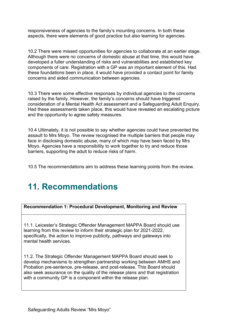responsiveness of agencies to the family's mounting concerns. In both these aspects, there were elements of good practice but also learning for agencies.

10.2 There were missed opportunities for agencies to collaborate at an earlier stage. Although there were no concerns of domestic abuse at that time, this would have developed a fuller understanding of risks and vulnerabilities and established key components of care. Registration with a GP was an important element of this. Had these foundations been in place, it would have provided a contact point for family concerns and aided communication between agencies.

10.3 There were some effective responses by individual agencies to the concerns raised by the family. However, the family's concerns should have triggered consideration of a Mental Health Act assessment and a Safeguarding Adult Enquiry. Had these assessments taken place, this would have revealed an escalating picture and the opportunity to agree safety measures.

10.4 Ultimately, it is not possible to say whether agencies could have prevented the assault to Mrs Moyo. The review recognised the multiple barriers that people may face in disclosing domestic abuse, many of which may have been faced by Mrs Moyo. Agencies have a responsibility to work together to try and reduce those barriers, supporting the adult to reduce risks of harm.

10.5 The recommendations aim to address these learning points from the review.

# <span id="page-31-0"></span>**11. Recommendations**

**Recommendation 1: Procedural Development, Monitoring and Review**

11.1. Leicester's Strategic Offender Management MAPPA Board should use learning from this review to inform their strategic plan for 2021-2022, specifically, the action to improve publicity, pathways and gateways into mental health services.

11.2. The Strategic Offender Management MAPPA Board should seek to develop mechanisms to strengthen partnership working between AMHS and Probation pre-sentence, pre-release, and post-release. This Board should also seek assurance on the quality of the release plans and that registration with a community GP is a component within the release plan.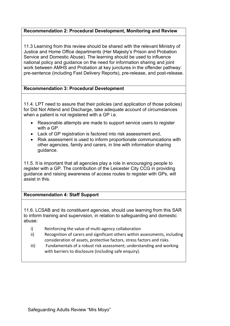#### **Recommendation 2: Procedural Development, Monitoring and Review**

11.3 Learning from this review should be shared with the relevant Ministry of Justice and Home Office departments (Her Majesty's Prison and Probation Service and Domestic Abuse). The learning should be used to influence national policy and guidance on the need for information sharing and joint work between AMHS and Probation at key junctures in the offender pathway: pre-sentence (including Fast Delivery Reports), pre-release, and post-release.

#### **Recommendation 3: Procedural Development**

11.4. LPT need to assure that their policies (and application of those policies) for Did Not Attend and Discharge, take adequate account of circumstances when a patient is not registered with a GP i.e.

- Reasonable attempts are made to support service users to register with a GP.
- Lack of GP registration is factored into risk assessment and,
- Risk assessment is used to inform proportionate communications with other agencies, family and carers, in line with information sharing guidance.

11.5. It is important that all agencies play a role in encouraging people to register with a GP. The contribution of the Leicester City CCG in providing guidance and raising awareness of access routes to register with GPs, will assist in this.

#### **Recommendation 4: Staff Support**

11.6. LCSAB and its constituent agencies, should use learning from this SAR to inform training and supervision, in relation to safeguarding and domestic abuse:

- i) Reinforcing the value of multi-agency collaboration
- ii) Recognition of carers and significant others within assessments, including consideration of assets, protective factors, stress factors and risks.
- iii) Fundamentals of a robust risk assessment; understanding and working with barriers to disclosure (including safe enquiry).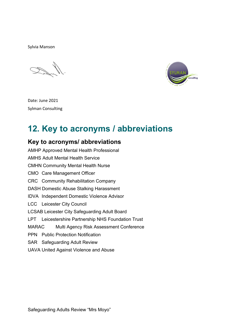Sylvia Manson



Date: June 2021 Sylman Consulting

# <span id="page-33-0"></span>**12. Key to acronyms / abbreviations**

#### **Key to acronyms/ abbreviations**

AMHP Approved Mental Health Professional AMHS Adult Mental Health Service CMHN Community Mental Health Nurse CMO Care Management Officer CRC Community Rehabilitation Company DASH Domestic Abuse Stalking Harassment IDVA Independent Domestic Violence Advisor LCC Leicester City Council LCSAB Leicester City Safeguarding Adult Board LPT Leicestershire Partnership NHS Foundation Trust MARAC Multi Agency Risk Assessment Conference PPN Public Protection Notification SAR Safeguarding Adult Review UAVA United Against Violence and Abuse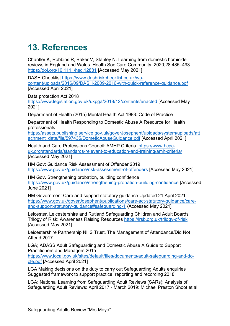## <span id="page-34-0"></span>**13. References**

Chantler K, Robbins R, Baker V, Stanley N. Learning from domestic homicide reviews in England and Wales. Health Soc Care Community. 2020;28:485–493. <https://doi.org/10.1111/hsc.12881> [Accessed May 2021]

DASH Checklist [https://www.dashriskchecklist.co.uk/wp](https://www.dashriskchecklist.co.uk/wp-content/uploads/2016/09/DASH-2009-2016-with-quick-reference-guidance.pdf)[content/uploads/2016/09/DASH-2009-2016-with-quick-reference-guidance.pdf](https://www.dashriskchecklist.co.uk/wp-content/uploads/2016/09/DASH-2009-2016-with-quick-reference-guidance.pdf)  [Accessed April 2021]

Data protection Act 2018

<https://www.legislation.gov.uk/ukpga/2018/12/contents/enacted> [Accessed May 2021]

Department of Health (2015) Mental Health Act 1983: Code of Practice

Department of Health Responding to Domestic Abuse A Resource for Health professionals

[https://assets.publishing.service.gov.uk/goverJosephent/uploads/system/uploads/att](https://assets.publishing.service.gov.uk/government/uploads/system/uploads/attachment_data/file/597435/DometicAbuseGuidance.pdf) [achment\\_data/file/597435/DometicAbuseGuidance.pdf](https://assets.publishing.service.gov.uk/government/uploads/system/uploads/attachment_data/file/597435/DometicAbuseGuidance.pdf) [Accessed April 2021]

Health and Care Professions Council: AMHP Criteria [https://www.hcpc](https://www.hcpc-uk.org/standards/standards-relevant-to-education-and-training/amh-criteria/)[uk.org/standards/standards-relevant-to-education-and-training/amh-criteria/](https://www.hcpc-uk.org/standards/standards-relevant-to-education-and-training/amh-criteria/) [Accessed May 2021]

HM Gov: Guidance Risk Assessment of Offender 2019 <https://www.gov.uk/guidance/risk-assessment-of-offenders> [Accessed May 2021]

HM Gov**.** Strengthening probation, building confidence <https://www.gov.uk/guidance/strengthening-probation-building-confidence>[Accessed June 2021]

HM Government Care and support statutory guidance Updated 21 April 2021 [https://www.gov.uk/goverJosephent/publications/care-act-statutory-guidance/care](https://www.gov.uk/government/publications/care-act-statutory-guidance/care-and-support-statutory-guidance#safeguarding-1)[and-support-statutory-guidance#safeguarding-1](https://www.gov.uk/government/publications/care-act-statutory-guidance/care-and-support-statutory-guidance#safeguarding-1) {Accessed May 2021]

Leicester, Leicestershire and Rutland Safeguarding Children and Adult Boards Trilogy of Risk: Awareness Raising Resources<https://lrsb.org.uk/trilogy-of-risk> [Accessed May 2021]

Leicestershire Partnership NHS Trust, The Management of Attendance/Did Not Attend 2017

LGA; ADASS Adult Safeguarding and Domestic Abuse A Guide to Support Practitioners and Managers 2015

[https://www.local.gov.uk/sites/default/files/documents/adult-safeguarding-and-do](https://www.local.gov.uk/sites/default/files/documents/adult-safeguarding-and-do-cfe.pdf)[cfe.pdf](https://www.local.gov.uk/sites/default/files/documents/adult-safeguarding-and-do-cfe.pdf) [Accessed April 2021]

LGA Making decisions on the duty to carry out Safeguarding Adults enquiries Suggested framework to support practice, reporting and recording 2018

LGA: National Learning from Safeguarding Adult Reviews (SARs): Analysis of Safeguarding Adult Reviews: April 2017 - March 2019: Michael Preston Shoot et al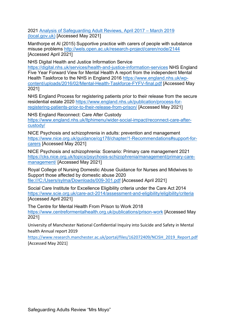2021 [Analysis of Safeguarding Adult Reviews, April 2017 – March 2019](https://www.local.gov.uk/sites/default/files/documents/National%20SAR%20Analysis%20Final%20Report%20WEB.pdf)  [\(local.gov.uk\)](https://www.local.gov.uk/sites/default/files/documents/National%20SAR%20Analysis%20Final%20Report%20WEB.pdf) [Accessed May 2021]

Manthorpe et Al (2015) Supportive practice with carers of people with substance misuse problems<http://wels.open.ac.uk/research-project/caren/node/2144> [Accessed April 2021]

NHS Digital Health and Justice Information Service

<https://digital.nhs.uk/services/health-and-justice-information-services> NHS England Five Year Forward View for Mental Health A report from the independent Mental Health Taskforce to the NHS in England 2016 [https://www.england.nhs.uk/wp](https://www.england.nhs.uk/wp-content/uploads/2016/02/Mental-Health-Taskforce-FYFV-final.pdf)[content/uploads/2016/02/Mental-Health-Taskforce-FYFV-final.pdf](https://www.england.nhs.uk/wp-content/uploads/2016/02/Mental-Health-Taskforce-FYFV-final.pdf) [Accessed May 2021]

NHS England Process for registering patients prior to their release from the secure residential estate 2020 [https://www.england.nhs.uk/publication/process-for](https://www.england.nhs.uk/publication/process-for-registering-patients-prior-to-their-release-from-prison/)[registering-patients-prior-to-their-release-from-prison/](https://www.england.nhs.uk/publication/process-for-registering-patients-prior-to-their-release-from-prison/) [Accessed May 2021]

NHS England Reconnect: Care After Custody [https://www.england.nhs.uk/ltphimenu/wider-social-impact/reconnect-care-after](https://www.england.nhs.uk/ltphimenu/wider-social-impact/reconnect-care-after-custody/)[custody/](https://www.england.nhs.uk/ltphimenu/wider-social-impact/reconnect-care-after-custody/) 

NICE Psychosis and schizophrenia in adults: prevention and management [https://www.nice.org.uk/guidance/cg178/chapter/1-Recommendations#support-for](https://www.nice.org.uk/guidance/cg178/chapter/1-Recommendations#support-for-carers)[carers](https://www.nice.org.uk/guidance/cg178/chapter/1-Recommendations#support-for-carers) [Accessed May 2021]

NICE Psychosis and schizophrenia: Scenario: Primary care management 2021 [https://cks.nice.org.uk/topics/psychosis-schizophrenia/management/primary-care](https://cks.nice.org.uk/topics/psychosis-schizophrenia/management/primary-care-management/)[management/](https://cks.nice.org.uk/topics/psychosis-schizophrenia/management/primary-care-management/) [Accessed May 2021]

Royal College of Nursing Domestic Abuse Guidance for Nurses and Midwives to Support those affected by domestic abuse 2020 file:///C:/Users/sylma/Downloads/009-301.pdf [Accessed April 2021]

Social Care Institute for Excellence Eligibility criteria under the Care Act 2014 <https://www.scie.org.uk/care-act-2014/assessment-and-eligibility/eligibility/criteria> [Accessed April 2021]

The Centre for Mental Health From Prison to Work 2018 <https://www.centreformentalhealth.org.uk/publications/prison-work> [Accessed May 2021]

University of Manchester National Confidential Inquiry into Suicide and Safety in Mental health Annual report 2019

[https://www.research.manchester.ac.uk/portal/files/162072409/NCISH\\_2019\\_Report.pdf](https://www.research.manchester.ac.uk/portal/files/162072409/NCISH_2019_Report.pdf) [Accessed May 2021]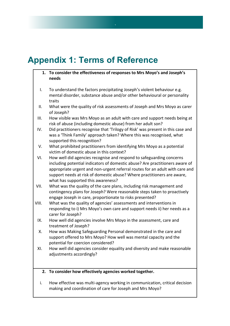# <span id="page-36-0"></span>**Appendix 1: Terms of Reference**

**1. To consider the effectiveness of responses to Mrs Moyo's and Joseph's needs**

 $\overline{\phantom{a}}$ 

- I. To understand the factors precipitating Joseph's violent behaviour e.g. mental disorder, substance abuse and/or other behavioural or personality traits
- II. What were the quality of risk assessments of Joseph and Mrs Moyo as carer of Joseph?
- III. How visible was Mrs Moyo as an adult with care and support needs being at risk of abuse (including domestic abuse) from her adult son?
- IV. Did practitioners recognise that 'Trilogy of Risk' was present in this case and was a 'Think Family' approach taken? Where this was recognised, what supported this recognition?
- V. What prohibited practitioners from identifying Mrs Moyo as a potential victim of domestic abuse in this context?
- VI. How well did agencies recognise and respond to safeguarding concerns including potential indicators of domestic abuse? Are practitioners aware of appropriate urgent and non-urgent referral routes for an adult with care and support needs at risk of domestic abuse? Where practitioners are aware, what has supported this awareness?
- VII. What was the quality of the care plans, including risk management and contingency plans for Joseph? Were reasonable steps taken to proactively engage Joseph in care, proportionate to risks presented?
- VIII. What was the quality of agencies' assessments and interventions in responding to i) Mrs Moyo's own care and support needs ii) her needs as a carer for Joseph?
	- IX. How well did agencies involve Mrs Moyo in the assessment, care and treatment of Joseph?
	- X. How was Making Safeguarding Personal demonstrated in the care and support offered to Mrs Moyo? How well was mental capacity and the potential for coercion considered?
	- XI. How well did agencies consider equality and diversity and make reasonable adjustments accordingly?

#### **2. To consider how effectively agencies worked together.**

i. How effective was multi-agency working in communication, critical decision making and coordination of care for Joseph and Mrs Moyo?